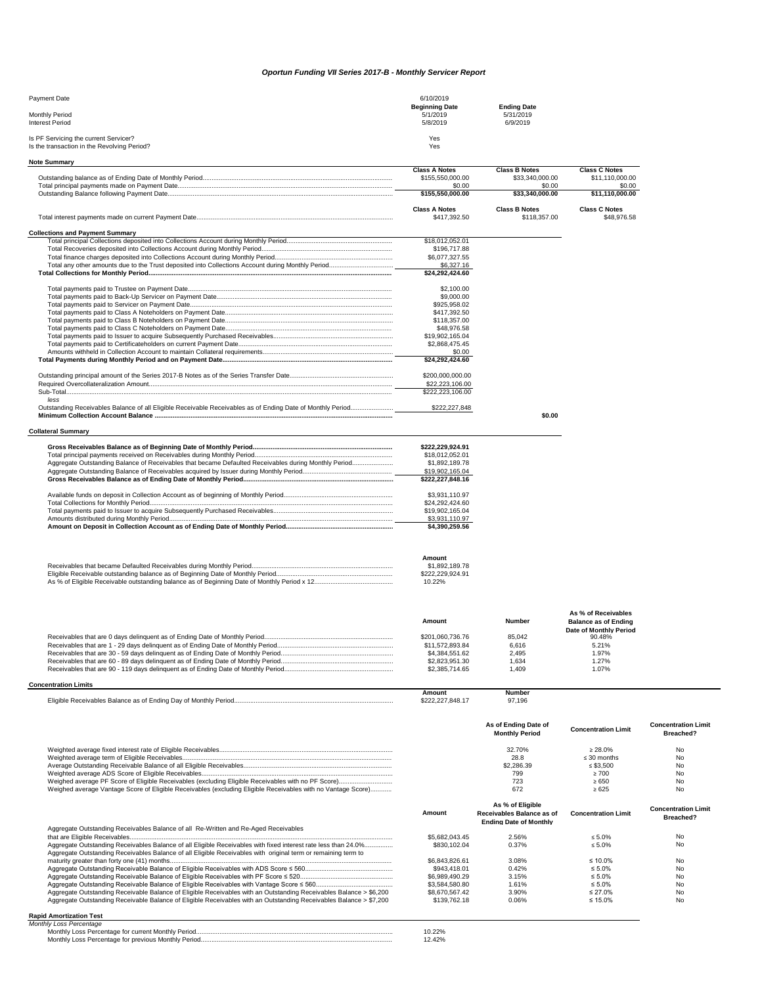## *Oportun Funding VII Series 2017-B - Monthly Servicer Report*

| Payment Date                                                                         | 6/10/2019                         |                                 |
|--------------------------------------------------------------------------------------|-----------------------------------|---------------------------------|
| Monthly Period                                                                       | <b>Beginning Date</b><br>5/1/2019 | <b>Ending Date</b><br>5/31/2019 |
| <b>Interest Period</b>                                                               | 5/8/2019                          | 6/9/2019                        |
| Is PF Servicing the current Servicer?<br>Is the transaction in the Revolving Period? | Yes<br>Yes                        |                                 |

| <b>Note Summary</b>                                                                                          |                                    |                           |                                                       |                            |
|--------------------------------------------------------------------------------------------------------------|------------------------------------|---------------------------|-------------------------------------------------------|----------------------------|
|                                                                                                              | <b>Class A Notes</b>               | <b>Class B Notes</b>      | <b>Class C Notes</b>                                  |                            |
|                                                                                                              | \$155,550,000.00<br>\$0.00         | \$33,340,000.00<br>\$0.00 | \$11,110,000.00<br>\$0.00                             |                            |
|                                                                                                              | \$155,550,000.00                   | \$33,340,000.00           | \$11,110,000.00                                       |                            |
|                                                                                                              |                                    |                           |                                                       |                            |
|                                                                                                              | <b>Class A Notes</b>               | <b>Class B Notes</b>      | <b>Class C Notes</b>                                  |                            |
|                                                                                                              | \$417,392.50                       | \$118,357.00              | \$48,976,58                                           |                            |
| <b>Collections and Payment Summary</b>                                                                       |                                    |                           |                                                       |                            |
|                                                                                                              | \$18,012,052.01                    |                           |                                                       |                            |
|                                                                                                              | \$196,717.88                       |                           |                                                       |                            |
|                                                                                                              | \$6,077,327.55                     |                           |                                                       |                            |
|                                                                                                              | \$6,327.16                         |                           |                                                       |                            |
|                                                                                                              | \$24,292,424.60                    |                           |                                                       |                            |
|                                                                                                              | \$2,100.00                         |                           |                                                       |                            |
|                                                                                                              | \$9,000.00                         |                           |                                                       |                            |
|                                                                                                              | \$925,958.02                       |                           |                                                       |                            |
|                                                                                                              | \$417,392.50                       |                           |                                                       |                            |
|                                                                                                              | \$118,357.00                       |                           |                                                       |                            |
|                                                                                                              | \$48,976.58<br>\$19,902,165.04     |                           |                                                       |                            |
|                                                                                                              | \$2,868,475.45                     |                           |                                                       |                            |
|                                                                                                              | \$0.00                             |                           |                                                       |                            |
|                                                                                                              | \$24,292,424.60                    |                           |                                                       |                            |
|                                                                                                              |                                    |                           |                                                       |                            |
|                                                                                                              | \$200,000,000.00                   |                           |                                                       |                            |
|                                                                                                              | \$22,223,106.00                    |                           |                                                       |                            |
| Sub-Total<br>less                                                                                            | \$222,223,106.00                   |                           |                                                       |                            |
| Outstanding Receivables Balance of all Eligible Receivable Receivables as of Ending Date of Monthly Period   | \$222,227,848                      |                           |                                                       |                            |
|                                                                                                              |                                    | \$0.00                    |                                                       |                            |
|                                                                                                              |                                    |                           |                                                       |                            |
| <b>Collateral Summary</b>                                                                                    |                                    |                           |                                                       |                            |
|                                                                                                              | \$222,229,924.91                   |                           |                                                       |                            |
|                                                                                                              | \$18,012,052.01                    |                           |                                                       |                            |
| Aggregate Outstanding Balance of Receivables that became Defaulted Receivables during Monthly Period         | \$1,892,189,78                     |                           |                                                       |                            |
|                                                                                                              | \$19,902,165.04                    |                           |                                                       |                            |
|                                                                                                              | \$222,227,848.16                   |                           |                                                       |                            |
|                                                                                                              | \$3,931,110.97                     |                           |                                                       |                            |
|                                                                                                              | \$24,292,424.60                    |                           |                                                       |                            |
|                                                                                                              | \$19,902,165.04                    |                           |                                                       |                            |
|                                                                                                              | \$3,931,110.97                     |                           |                                                       |                            |
|                                                                                                              | \$4,390,259.56                     |                           |                                                       |                            |
|                                                                                                              |                                    |                           |                                                       |                            |
|                                                                                                              | Amount                             |                           |                                                       |                            |
|                                                                                                              | \$1,892,189.78<br>\$222,229,924.91 |                           |                                                       |                            |
|                                                                                                              | 10.22%                             |                           |                                                       |                            |
|                                                                                                              |                                    |                           |                                                       |                            |
|                                                                                                              |                                    |                           |                                                       |                            |
|                                                                                                              | Amount                             | <b>Number</b>             | As % of Receivables                                   |                            |
|                                                                                                              |                                    |                           | <b>Balance as of Ending</b><br>Date of Monthly Period |                            |
|                                                                                                              | \$201,060,736.76                   | 85,042                    | 90.48%                                                |                            |
|                                                                                                              | \$11,572,893.84                    | 6,616                     | 5.21%                                                 |                            |
|                                                                                                              | \$4,384,551.62                     | 2,495                     | 1.97%                                                 |                            |
|                                                                                                              | \$2,823,951.30<br>\$2,385,714.65   | 1,634<br>1,409            | 1.27%<br>1.07%                                        |                            |
|                                                                                                              |                                    |                           |                                                       |                            |
| <b>Concentration Limits</b>                                                                                  |                                    |                           |                                                       |                            |
|                                                                                                              | <b>Amount</b><br>\$222,227,848.17  | Number<br>97.196          |                                                       |                            |
|                                                                                                              |                                    |                           |                                                       |                            |
|                                                                                                              |                                    | As of Ending Date of      | <b>Concentration Limit</b>                            | <b>Concentration Limit</b> |
|                                                                                                              |                                    | <b>Monthly Period</b>     |                                                       | Breached?                  |
|                                                                                                              |                                    | 32.70%                    | $\geq 28.0\%$                                         | No                         |
|                                                                                                              |                                    | 28.8                      | $\leq 30$ months                                      | No                         |
|                                                                                                              |                                    | \$2,286.39                | $\leq$ \$3,500                                        | No                         |
|                                                                                                              |                                    | 799                       | $\geq 700$                                            | No                         |
| Weighed average Vantage Score of Eligible Receivables (excluding Eligible Receivables with no Vantage Score) |                                    | 723<br>672                | >650<br>$\ge 625$                                     | No<br>No                   |
|                                                                                                              |                                    |                           |                                                       |                            |

|                                                                                                                                                                                                                                 | Amount         | As % of Eligible<br>Receivables Balance as of<br><b>Ending Date of Monthly</b> | <b>Concentration Limit</b> | <b>Concentration Limit</b><br>Breached? |
|---------------------------------------------------------------------------------------------------------------------------------------------------------------------------------------------------------------------------------|----------------|--------------------------------------------------------------------------------|----------------------------|-----------------------------------------|
| Aggregate Outstanding Receivables Balance of all Re-Written and Re-Aged Receivables                                                                                                                                             |                |                                                                                |                            |                                         |
|                                                                                                                                                                                                                                 | \$5,682,043.45 | 2.56%                                                                          | $< 5.0\%$                  | No                                      |
| Aggregate Outstanding Receivables Balance of all Eligible Receivables with fixed interest rate less than 24.0%<br>Aggregate Outstanding Receivables Balance of all Eligible Receivables with original term or remaining term to | \$830,102.04   | 0.37%                                                                          | $< 5.0\%$                  | No                                      |
|                                                                                                                                                                                                                                 | \$6,843,826.61 | 3.08%                                                                          | $\leq 10.0\%$              | No                                      |
|                                                                                                                                                                                                                                 | \$943.418.01   | 0.42%                                                                          | $\leq 5.0\%$               | No                                      |
|                                                                                                                                                                                                                                 | \$6,989,490.29 | 3.15%                                                                          | $\leq 5.0\%$               | No                                      |
|                                                                                                                                                                                                                                 | \$3,584,580,80 | 1.61%                                                                          | $\leq 5.0\%$               | No                                      |
| Aggregate Outstanding Receivable Balance of Eligible Receivables with an Outstanding Receivables Balance > \$6,200                                                                                                              | \$8,670,567,42 | 3.90%                                                                          | $\leq$ 27.0%               | No                                      |
| Aggregate Outstanding Receivable Balance of Eligible Receivables with an Outstanding Receivables Balance > \$7,200                                                                                                              | \$139,762.18   | 0.06%                                                                          | $\leq 15.0\%$              | No                                      |

## **Rapid Amortization Test** *Monthly Loss Percentage*

| inniy Loss Fercentage                               |  |
|-----------------------------------------------------|--|
| Monthly Loss Percentage for current Monthly Period. |  |
| Monthly Loss Percentage for previous Monthly Period |  |